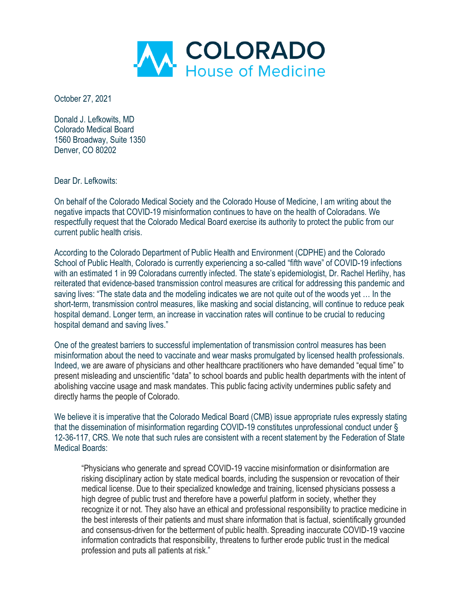

October 27, 2021

Donald J. Lefkowits, MD Colorado Medical Board 1560 Broadway, Suite 1350 Denver, CO 80202

Dear Dr. Lefkowits:

On behalf of the Colorado Medical Society and the Colorado House of Medicine, I am writing about the negative impacts that COVID-19 misinformation continues to have on the health of Coloradans. We respectfully request that the Colorado Medical Board exercise its authority to protect the public from our current public health crisis.

According to the Colorado Department of Public Health and Environment (CDPHE) and the Colorado School of Public Health, Colorado is currently experiencing a so-called "fifth wave" of COVID-19 infections with an estimated 1 in 99 Coloradans currently infected. The state's epidemiologist, Dr. Rachel Herlihy, has reiterated that evidence-based transmission control measures are critical for addressing this pandemic and saving lives: "The state data and the modeling indicates we are not quite out of the woods yet … In the short-term, transmission control measures, like masking and social distancing, will continue to reduce peak hospital demand. Longer term, an increase in vaccination rates will continue to be crucial to reducing hospital demand and saving lives."

One of the greatest barriers to successful implementation of transmission control measures has been misinformation about the need to vaccinate and wear masks promulgated by licensed health professionals. Indeed, we are aware of physicians and other healthcare practitioners who have demanded "equal time" to present misleading and unscientific "data" to school boards and public health departments with the intent of abolishing vaccine usage and mask mandates. This public facing activity undermines public safety and directly harms the people of Colorado.

We believe it is imperative that the Colorado Medical Board (CMB) issue appropriate rules expressly stating that the dissemination of misinformation regarding COVID-19 constitutes unprofessional conduct under § 12-36-117, CRS. We note that such rules are consistent with a recent statement by the Federation of State Medical Boards:

"Physicians who generate and spread COVID-19 vaccine misinformation or disinformation are risking disciplinary action by state medical boards, including the suspension or revocation of their medical license. Due to their specialized knowledge and training, licensed physicians possess a high degree of public trust and therefore have a powerful platform in society, whether they recognize it or not. They also have an ethical and professional responsibility to practice medicine in the best interests of their patients and must share information that is factual, scientifically grounded and consensus-driven for the betterment of public health. Spreading inaccurate COVID-19 vaccine information contradicts that responsibility, threatens to further erode public trust in the medical profession and puts all patients at risk."